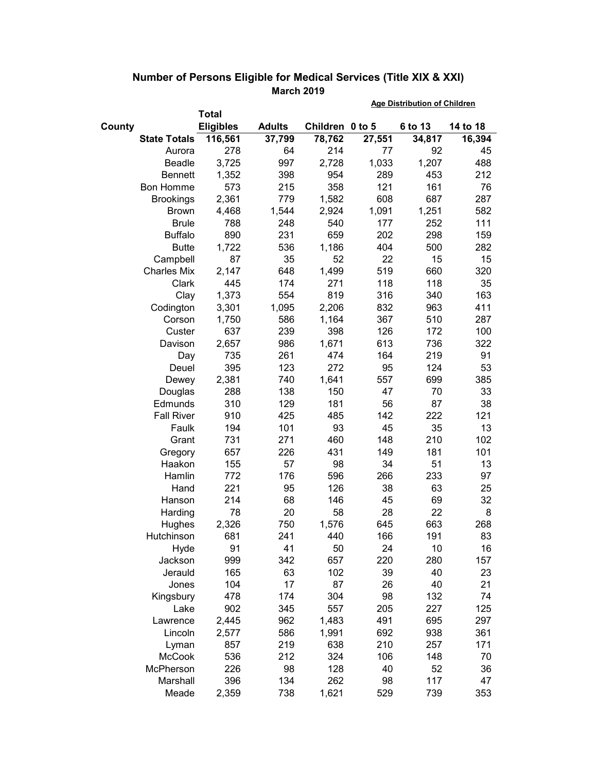|                     |                  |               | <b>Age Distribution of Children</b> |        |         |          |
|---------------------|------------------|---------------|-------------------------------------|--------|---------|----------|
|                     | <b>Total</b>     |               |                                     |        |         |          |
| County              | <b>Eligibles</b> | <b>Adults</b> | Children 0 to 5                     |        | 6 to 13 | 14 to 18 |
| <b>State Totals</b> | 116,561          | 37,799        | 78,762                              | 27,551 | 34,817  | 16,394   |
| Aurora              | 278              | 64            | 214                                 | 77     | 92      | 45       |
| <b>Beadle</b>       | 3,725            | 997           | 2,728                               | 1,033  | 1,207   | 488      |
| <b>Bennett</b>      | 1,352            | 398           | 954                                 | 289    | 453     | 212      |
| <b>Bon Homme</b>    | 573              | 215           | 358                                 | 121    | 161     | 76       |
| <b>Brookings</b>    | 2,361            | 779           | 1,582                               | 608    | 687     | 287      |
| <b>Brown</b>        | 4,468            | 1,544         | 2,924                               | 1,091  | 1,251   | 582      |
| <b>Brule</b>        | 788              | 248           | 540                                 | 177    | 252     | 111      |
| <b>Buffalo</b>      | 890              | 231           | 659                                 | 202    | 298     | 159      |
| <b>Butte</b>        | 1,722            | 536           | 1,186                               | 404    | 500     | 282      |
| Campbell            | 87               | 35            | 52                                  | 22     | 15      | 15       |
| <b>Charles Mix</b>  | 2,147            | 648           | 1,499                               | 519    | 660     | 320      |
| Clark               | 445              | 174           | 271                                 | 118    | 118     | 35       |
| Clay                | 1,373            | 554           | 819                                 | 316    | 340     | 163      |
| Codington           | 3,301            | 1,095         | 2,206                               | 832    | 963     | 411      |
| Corson              | 1,750            | 586           | 1,164                               | 367    | 510     | 287      |
| Custer              | 637              | 239           | 398                                 | 126    | 172     | 100      |
| Davison             | 2,657            | 986           | 1,671                               | 613    | 736     | 322      |
| Day                 | 735              | 261           | 474                                 | 164    | 219     | 91       |
| Deuel               | 395              | 123           | 272                                 | 95     | 124     | 53       |
| Dewey               | 2,381            | 740           | 1,641                               | 557    | 699     | 385      |
| Douglas             | 288              | 138           | 150                                 | 47     | 70      | 33       |
| Edmunds             | 310              | 129           | 181                                 | 56     | 87      | 38       |
| <b>Fall River</b>   | 910              | 425           | 485                                 | 142    | 222     | 121      |
| Faulk               | 194              | 101           | 93                                  | 45     | 35      | 13       |
| Grant               | 731              | 271           | 460                                 | 148    | 210     | 102      |
| Gregory             | 657              | 226           | 431                                 | 149    | 181     | 101      |
| Haakon              | 155              | 57            | 98                                  | 34     | 51      | 13       |
| Hamlin              | 772              | 176           | 596                                 | 266    | 233     | 97       |
| Hand                | 221              | 95            | 126                                 | 38     | 63      | 25       |
| Hanson              | 214              | 68            | 146                                 | 45     | 69      | 32       |
| Harding             | 78               | 20            | 58                                  | 28     | 22      | 8        |
| Hughes              | 2,326            | 750           | 1,576                               | 645    | 663     | 268      |
| Hutchinson          | 681              | 241           | 440                                 | 166    | 191     | 83       |
| Hyde                | 91               | 41            | 50                                  | 24     | 10      | 16       |
| Jackson             | 999              | 342           | 657                                 | 220    | 280     | 157      |
| Jerauld             | 165              | 63            | 102                                 | 39     | 40      | 23       |
| Jones               | 104              | 17            | 87                                  | 26     | 40      | 21       |
| Kingsbury           | 478              | 174           | 304                                 | 98     | 132     | 74       |
| Lake                | 902              | 345           | 557                                 | 205    | 227     | 125      |
| Lawrence            | 2,445            | 962           | 1,483                               | 491    | 695     | 297      |
| Lincoln             | 2,577            | 586           | 1,991                               | 692    | 938     | 361      |
| Lyman               | 857              | 219           | 638                                 | 210    | 257     | 171      |
| <b>McCook</b>       | 536              | 212           | 324                                 | 106    | 148     | 70       |
| McPherson           | 226              | 98            | 128                                 | 40     | 52      | 36       |
| Marshall            | 396              | 134           | 262                                 | 98     | 117     | 47       |
| Meade               | 2,359            | 738           | 1,621                               | 529    | 739     | 353      |

## **Number of Persons Eligible for Medical Services (Title XIX & XXI) March 2019**